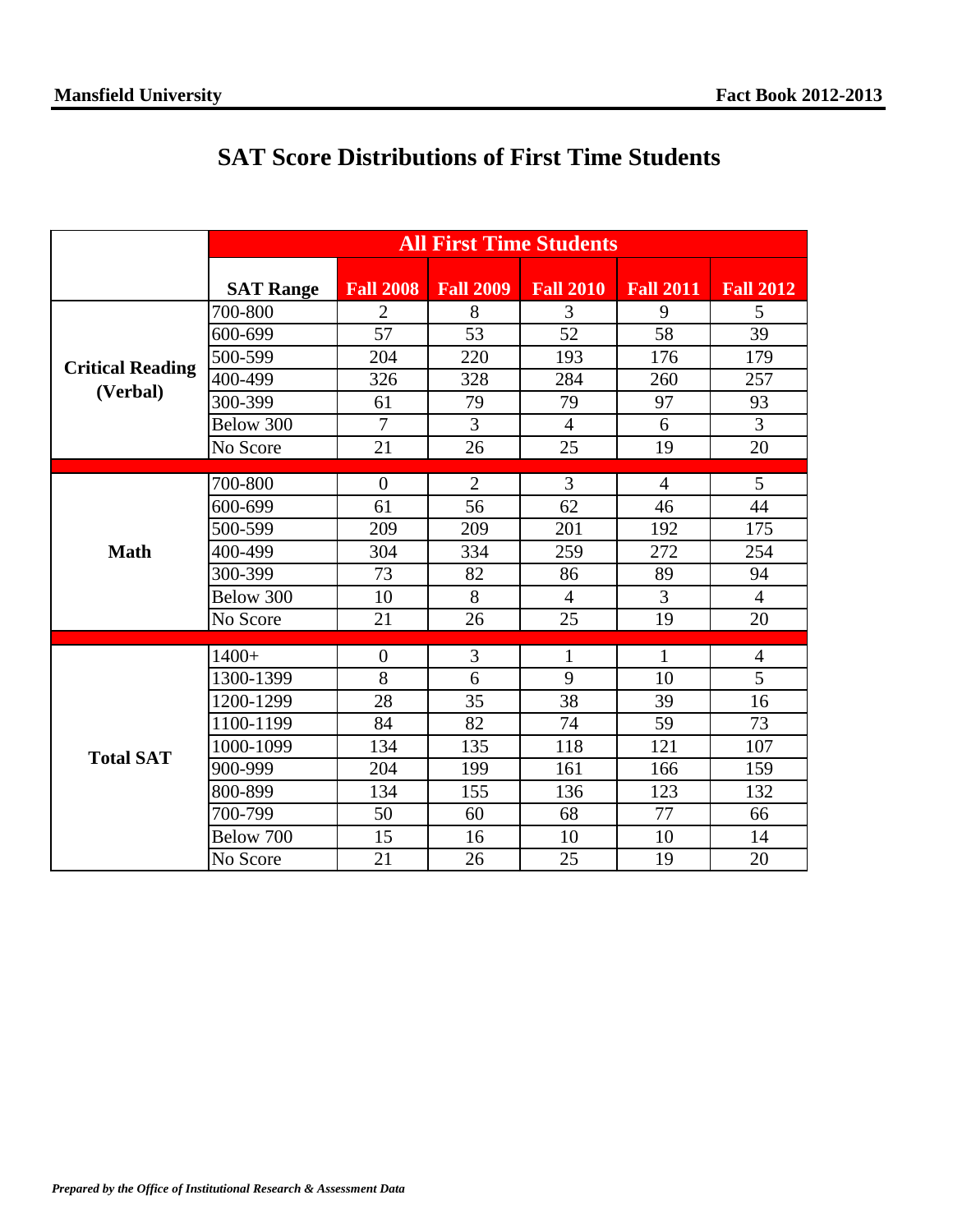|                                     | <b>All First Time Students</b> |                  |                  |                  |                  |                  |  |
|-------------------------------------|--------------------------------|------------------|------------------|------------------|------------------|------------------|--|
|                                     | <b>SAT Range</b>               | <b>Fall 2008</b> | <b>Fall 2009</b> | <b>Fall 2010</b> | <b>Fall 2011</b> | <b>Fall 2012</b> |  |
| <b>Critical Reading</b><br>(Verbal) | 700-800                        | $\overline{2}$   | 8                | 3                | 9                | 5                |  |
|                                     | 600-699                        | 57               | 53               | 52               | 58               | 39               |  |
|                                     | 500-599                        | 204              | 220              | 193              | 176              | 179              |  |
|                                     | 400-499                        | 326              | 328              | 284              | 260              | 257              |  |
|                                     | 300-399                        | 61               | 79               | 79               | 97               | 93               |  |
|                                     | Below 300                      | $\overline{7}$   | $\overline{3}$   | $\overline{4}$   | 6                | $\overline{3}$   |  |
|                                     | No Score                       | 21               | 26               | 25               | 19               | 20               |  |
|                                     |                                |                  |                  |                  |                  |                  |  |
| <b>Math</b>                         | 700-800                        | $\overline{0}$   | $\overline{2}$   | 3                | $\overline{4}$   | 5                |  |
|                                     | 600-699                        | 61               | 56               | 62               | 46               | 44               |  |
|                                     | 500-599                        | 209              | 209              | 201              | 192              | 175              |  |
|                                     | 400-499                        | 304              | 334              | 259              | 272              | 254              |  |
|                                     | 300-399                        | 73               | 82               | 86               | 89               | 94               |  |
|                                     | Below 300                      | 10               | 8                | $\overline{4}$   | $\overline{3}$   | $\overline{4}$   |  |
|                                     | No Score                       | 21               | 26               | 25               | 19               | 20               |  |
|                                     | $1400+$                        | $\overline{0}$   | 3                | $\mathbf{1}$     | 1                | $\overline{4}$   |  |
| <b>Total SAT</b>                    | 1300-1399                      | 8                | 6                | 9                | 10               | 5                |  |
|                                     | 1200-1299                      | 28               | 35               | 38               | 39               | 16               |  |
|                                     | 1100-1199                      | 84               | 82               | 74               | 59               | 73               |  |
|                                     | 1000-1099                      | 134              | 135              | 118              | 121              | 107              |  |
|                                     | 900-999                        | 204              | 199              | 161              | 166              | 159              |  |
|                                     | 800-899                        | 134              | 155              | 136              | 123              | 132              |  |
|                                     | 700-799                        | 50               | 60               | 68               | 77               | 66               |  |
|                                     | Below 700                      | 15               | 16               | 10               | 10               | 14               |  |
|                                     | No Score                       | 21               | 26               | 25               | 19               | 20               |  |

## **SAT Score Distributions of First Time Students**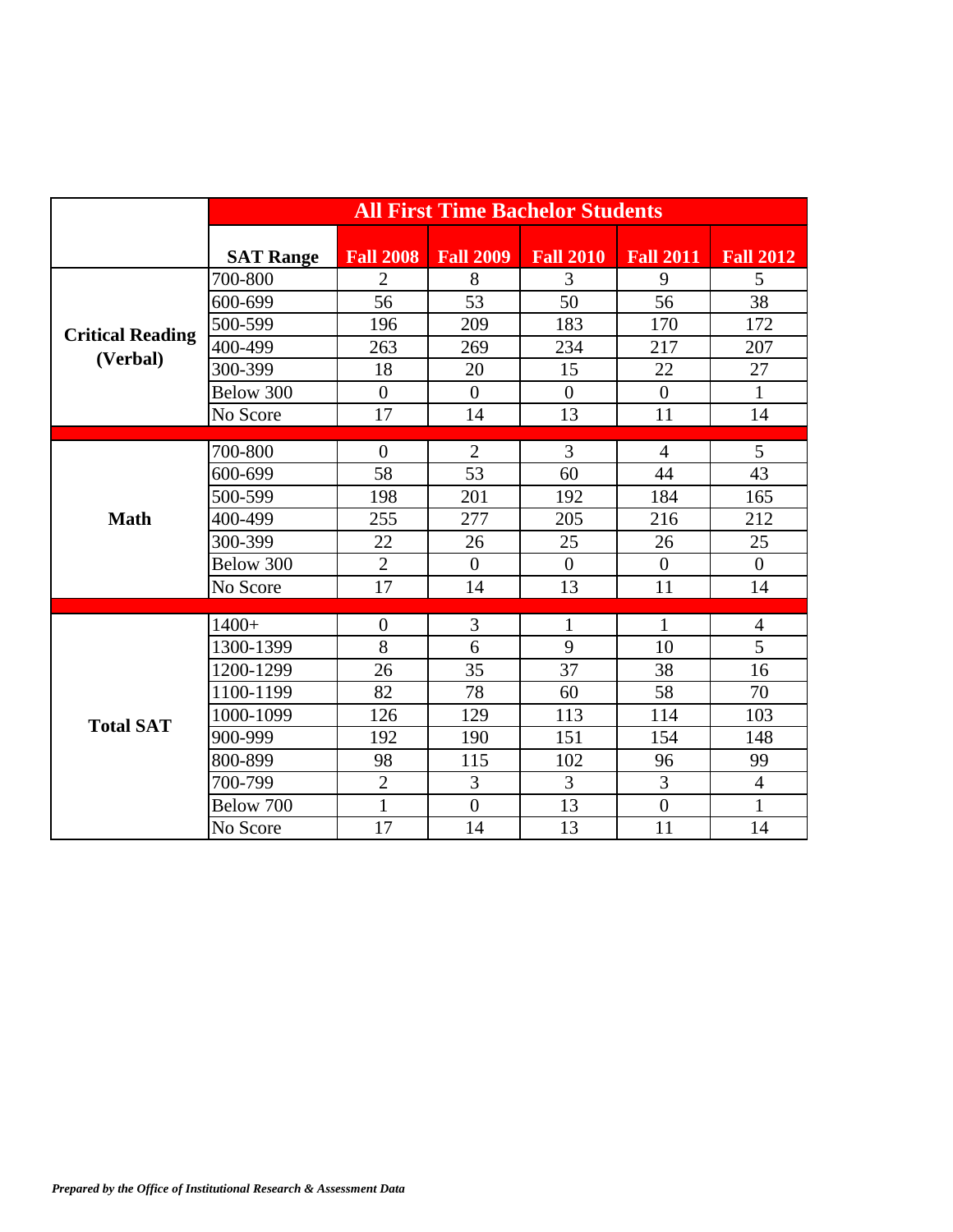|                                     | <b>All First Time Bachelor Students</b> |                  |                  |                  |                  |                  |
|-------------------------------------|-----------------------------------------|------------------|------------------|------------------|------------------|------------------|
|                                     | <b>SAT Range</b>                        | <b>Fall 2008</b> | <b>Fall 2009</b> | <b>Fall 2010</b> | <b>Fall 2011</b> | <b>Fall 2012</b> |
| <b>Critical Reading</b><br>(Verbal) | 700-800                                 | $\overline{2}$   | 8                | 3                | 9                | 5                |
|                                     | 600-699                                 | 56               | 53               | 50               | 56               | 38               |
|                                     | 500-599                                 | 196              | 209              | 183              | 170              | 172              |
|                                     | 400-499                                 | 263              | 269              | 234              | 217              | 207              |
|                                     | 300-399                                 | 18               | 20               | 15               | 22               | 27               |
|                                     | Below 300                               | $\overline{0}$   | $\boldsymbol{0}$ | $\overline{0}$   | $\overline{0}$   | $\mathbf{1}$     |
|                                     | No Score                                | 17               | 14               | 13               | 11               | 14               |
|                                     |                                         |                  |                  |                  |                  |                  |
| <b>Math</b>                         | 700-800                                 | $\overline{0}$   | $\overline{2}$   | 3                | $\overline{4}$   | 5                |
|                                     | 600-699                                 | 58               | 53               | 60               | 44               | 43               |
|                                     | 500-599                                 | 198              | 201              | 192              | 184              | 165              |
|                                     | 400-499                                 | 255              | 277              | 205              | 216              | 212              |
|                                     | 300-399                                 | 22               | 26               | 25               | 26               | 25               |
|                                     | Below 300                               | $\overline{2}$   | $\overline{0}$   | $\overline{0}$   | $\overline{0}$   | $\overline{0}$   |
|                                     | No Score                                | 17               | 14               | 13               | 11               | 14               |
|                                     | $1400+$                                 | $\boldsymbol{0}$ | 3                | $\mathbf{1}$     | $\mathbf{1}$     | $\overline{4}$   |
| <b>Total SAT</b>                    | 1300-1399                               | 8                | 6                | 9                | 10               | 5                |
|                                     | 1200-1299                               | 26               | 35               | 37               | 38               | 16               |
|                                     | 1100-1199                               | 82               | 78               | 60               | 58               | 70               |
|                                     | 1000-1099                               | 126              | 129              | 113              | 114              | 103              |
|                                     | 900-999                                 | 192              | 190              | 151              | 154              | 148              |
|                                     | 800-899                                 | 98               | 115              | 102              | 96               | 99               |
|                                     | 700-799                                 | $\overline{2}$   | 3                | 3                | 3                | $\overline{4}$   |
|                                     | Below 700                               | $\mathbf{1}$     | $\theta$         | 13               | $\theta$         | $\mathbf{1}$     |
|                                     |                                         |                  |                  |                  |                  |                  |
|                                     | No Score                                | 17               | 14               | 13               | 11               | 14               |